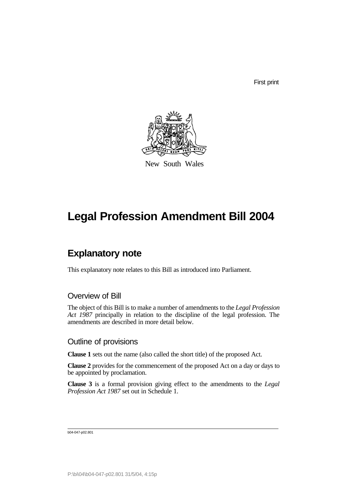First print



New South Wales

# **Legal Profession Amendment Bill 2004**

# **Explanatory note**

This explanatory note relates to this Bill as introduced into Parliament.

# Overview of Bill

The object of this Bill is to make a number of amendments to the *Legal Profession Act 1987* principally in relation to the discipline of the legal profession. The amendments are described in more detail below.

### Outline of provisions

**Clause 1** sets out the name (also called the short title) of the proposed Act.

**Clause 2** provides for the commencement of the proposed Act on a day or days to be appointed by proclamation.

**Clause 3** is a formal provision giving effect to the amendments to the *Legal Profession Act 1987* set out in Schedule 1.

b04-047-p02.801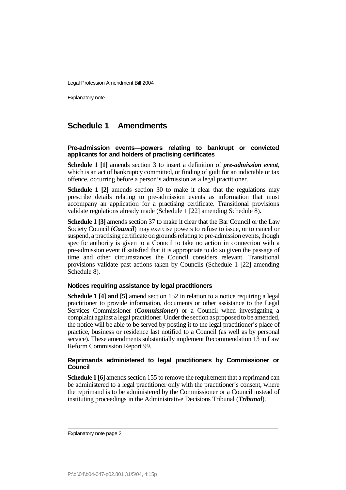Explanatory note

# **Schedule 1 Amendments**

#### **Pre-admission events—powers relating to bankrupt or convicted applicants for and holders of practising certificates**

**Schedule 1 [1]** amends section 3 to insert a definition of *pre-admission event*, which is an act of bankruptcy committed, or finding of guilt for an indictable or tax offence, occurring before a person's admission as a legal practitioner.

**Schedule 1 [2]** amends section 30 to make it clear that the regulations may prescribe details relating to pre-admission events as information that must accompany an application for a practising certificate. Transitional provisions validate regulations already made (Schedule 1 [22] amending Schedule 8).

**Schedule 1 [3]** amends section 37 to make it clear that the Bar Council or the Law Society Council (*Council*) may exercise powers to refuse to issue, or to cancel or suspend, a practising certificate on grounds relating to pre-admission events, though specific authority is given to a Council to take no action in connection with a pre-admission event if satisfied that it is appropriate to do so given the passage of time and other circumstances the Council considers relevant. Transitional provisions validate past actions taken by Councils (Schedule 1 [22] amending Schedule 8).

#### **Notices requiring assistance by legal practitioners**

**Schedule 1 [4] and [5]** amend section 152 in relation to a notice requiring a legal practitioner to provide information, documents or other assistance to the Legal Services Commissioner (*Commissioner*) or a Council when investigating a complaint against a legal practitioner. Under the section as proposed to be amended, the notice will be able to be served by posting it to the legal practitioner's place of practice, business or residence last notified to a Council (as well as by personal service). These amendments substantially implement Recommendation 13 in Law Reform Commission Report 99.

#### **Reprimands administered to legal practitioners by Commissioner or Council**

**Schedule 1 [6]** amends section 155 to remove the requirement that a reprimand can be administered to a legal practitioner only with the practitioner's consent, where the reprimand is to be administered by the Commissioner or a Council instead of instituting proceedings in the Administrative Decisions Tribunal (*Tribunal*).

Explanatory note page 2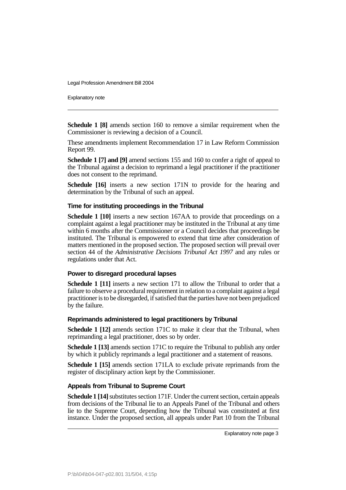Explanatory note

**Schedule 1 [8]** amends section 160 to remove a similar requirement when the Commissioner is reviewing a decision of a Council.

These amendments implement Recommendation 17 in Law Reform Commission Report 99.

**Schedule 1 [7] and [9]** amend sections 155 and 160 to confer a right of appeal to the Tribunal against a decision to reprimand a legal practitioner if the practitioner does not consent to the reprimand.

**Schedule [16]** inserts a new section 171N to provide for the hearing and determination by the Tribunal of such an appeal.

#### **Time for instituting proceedings in the Tribunal**

**Schedule 1 [10]** inserts a new section 167AA to provide that proceedings on a complaint against a legal practitioner may be instituted in the Tribunal at any time within 6 months after the Commissioner or a Council decides that proceedings be instituted. The Tribunal is empowered to extend that time after consideration of matters mentioned in the proposed section. The proposed section will prevail over section 44 of the *Administrative Decisions Tribunal Act 1997* and any rules or regulations under that Act.

#### **Power to disregard procedural lapses**

**Schedule 1 [11]** inserts a new section 171 to allow the Tribunal to order that a failure to observe a procedural requirement in relation to a complaint against a legal practitioner is to be disregarded, if satisfied that the parties have not been prejudiced by the failure.

#### **Reprimands administered to legal practitioners by Tribunal**

**Schedule 1 [12]** amends section 171C to make it clear that the Tribunal, when reprimanding a legal practitioner, does so by order.

**Schedule 1 [13]** amends section 171C to require the Tribunal to publish any order by which it publicly reprimands a legal practitioner and a statement of reasons.

**Schedule 1 [15]** amends section 171LA to exclude private reprimands from the register of disciplinary action kept by the Commissioner.

#### **Appeals from Tribunal to Supreme Court**

**Schedule 1 [14]** substitutes section 171F. Under the current section, certain appeals from decisions of the Tribunal lie to an Appeals Panel of the Tribunal and others lie to the Supreme Court, depending how the Tribunal was constituted at first instance. Under the proposed section, all appeals under Part 10 from the Tribunal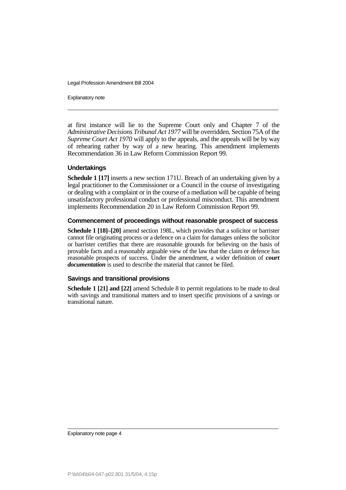Explanatory note

at first instance will lie to the Supreme Court only and Chapter 7 of the *Administrative Decisions Tribunal Act 1977* will be overridden. Section 75A of the *Supreme Court Act 1970* will apply to the appeals, and the appeals will be by way of rehearing rather by way of a new hearing. This amendment implements Recommendation 36 in Law Reform Commission Report 99.

#### **Undertakings**

**Schedule 1 [17]** inserts a new section 171U. Breach of an undertaking given by a legal practitioner to the Commissioner or a Council in the course of investigating or dealing with a complaint or in the course of a mediation will be capable of being unsatisfactory professional conduct or professional misconduct. This amendment implements Recommendation 20 in Law Reform Commission Report 99.

#### **Commencement of proceedings without reasonable prospect of success**

**Schedule 1 [18]–[20]** amend section 198L, which provides that a solicitor or barrister cannot file originating process or a defence on a claim for damages unless the solicitor or barrister certifies that there are reasonable grounds for believing on the basis of provable facts and a reasonably arguable view of the law that the claim or defence has reasonable prospects of success. Under the amendment, a wider definition of *court documentation* is used to describe the material that cannot be filed.

#### **Savings and transitional provisions**

**Schedule 1 [21] and [22]** amend Schedule 8 to permit regulations to be made to deal with savings and transitional matters and to insert specific provisions of a savings or transitional nature.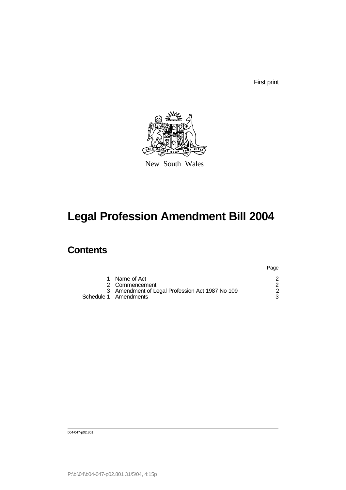First print



New South Wales

# **Legal Profession Amendment Bill 2004**

# **Contents**

|                                                                                                             | Page |
|-------------------------------------------------------------------------------------------------------------|------|
| 1 Name of Act<br>2 Commencement<br>3 Amendment of Legal Profession Act 1987 No 109<br>Schedule 1 Amendments |      |

b04-047-p02.801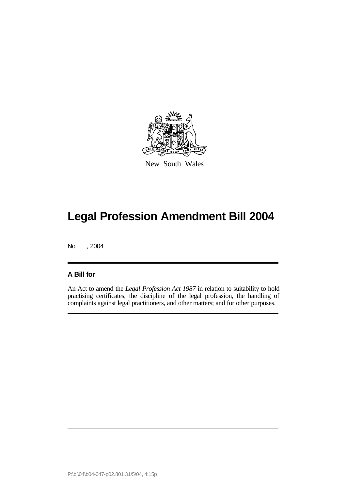

New South Wales

No , 2004

### **A Bill for**

An Act to amend the *Legal Profession Act 1987* in relation to suitability to hold practising certificates, the discipline of the legal profession, the handling of complaints against legal practitioners, and other matters; and for other purposes.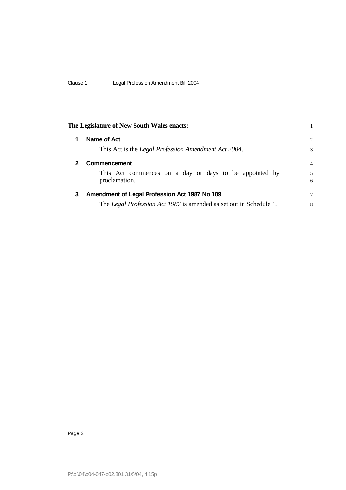| The Legislature of New South Wales enacts: |                                                                           |                |  |
|--------------------------------------------|---------------------------------------------------------------------------|----------------|--|
|                                            | Name of Act                                                               | $\overline{c}$ |  |
|                                            | This Act is the Legal Profession Amendment Act 2004.                      | 3              |  |
| 2                                          | Commencement                                                              | $\overline{4}$ |  |
|                                            | This Act commences on a day or days to be appointed by<br>proclamation.   | 5<br>6         |  |
| 3                                          | Amendment of Legal Profession Act 1987 No 109                             | 7              |  |
|                                            | The <i>Legal Profession Act 1987</i> is amended as set out in Schedule 1. | 8              |  |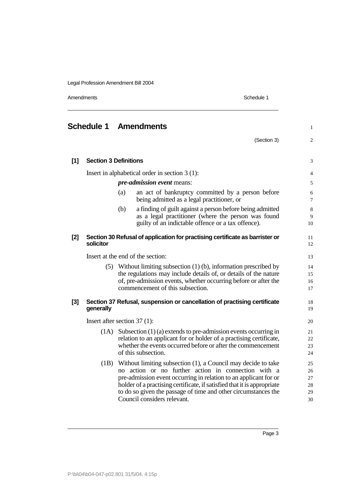Amendments Schedule 1

# **Schedule 1 Amendments** 1 1

 $(Section 3)$  2

| $[1]$ | <b>Section 3 Definitions</b>                                                              |                                                                                                                                                                                                                                                                                                                                                                         | 3                                |  |  |
|-------|-------------------------------------------------------------------------------------------|-------------------------------------------------------------------------------------------------------------------------------------------------------------------------------------------------------------------------------------------------------------------------------------------------------------------------------------------------------------------------|----------------------------------|--|--|
|       | Insert in alphabetical order in section 3 (1):                                            |                                                                                                                                                                                                                                                                                                                                                                         |                                  |  |  |
|       |                                                                                           | <i>pre-admission event</i> means:                                                                                                                                                                                                                                                                                                                                       | 5                                |  |  |
|       |                                                                                           | an act of bankruptcy committed by a person before<br>(a)<br>being admitted as a legal practitioner, or                                                                                                                                                                                                                                                                  | 6<br>7                           |  |  |
|       |                                                                                           | a finding of guilt against a person before being admitted<br>(b)<br>as a legal practitioner (where the person was found<br>guilty of an indictable offence or a tax offence).                                                                                                                                                                                           | 8<br>9<br>10                     |  |  |
| $[2]$ | Section 30 Refusal of application for practising certificate as barrister or<br>solicitor |                                                                                                                                                                                                                                                                                                                                                                         |                                  |  |  |
|       |                                                                                           | Insert at the end of the section:                                                                                                                                                                                                                                                                                                                                       | 13                               |  |  |
|       | (5)                                                                                       | Without limiting subsection $(1)$ (b), information prescribed by<br>the regulations may include details of, or details of the nature<br>of, pre-admission events, whether occurring before or after the<br>commencement of this subsection.                                                                                                                             | 14<br>15<br>16<br>17             |  |  |
| $[3]$ | generally                                                                                 | Section 37 Refusal, suspension or cancellation of practising certificate                                                                                                                                                                                                                                                                                                | 18<br>19                         |  |  |
|       |                                                                                           | Insert after section $37(1)$ :                                                                                                                                                                                                                                                                                                                                          | 20                               |  |  |
|       | (1A)                                                                                      | Subsection $(1)$ (a) extends to pre-admission events occurring in<br>relation to an applicant for or holder of a practising certificate,<br>whether the events occurred before or after the commencement<br>of this subsection.                                                                                                                                         | 21<br>22<br>23<br>24             |  |  |
|       | (1B)                                                                                      | Without limiting subsection (1), a Council may decide to take<br>action or no further action in connection with a<br>no<br>pre-admission event occurring in relation to an applicant for or<br>holder of a practising certificate, if satisfied that it is appropriate<br>to do so given the passage of time and other circumstances the<br>Council considers relevant. | 25<br>26<br>27<br>28<br>29<br>30 |  |  |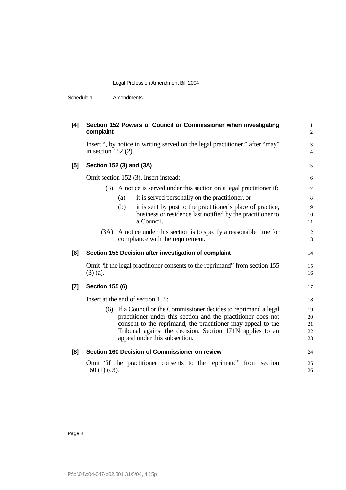| Schedule 1 | Amendments |
|------------|------------|
|            |            |

| [4]   | Section 152 Powers of Council or Commissioner when investigating<br>complaint                                                                                                                                                                                                                    |                            |  |  |  |  |
|-------|--------------------------------------------------------------------------------------------------------------------------------------------------------------------------------------------------------------------------------------------------------------------------------------------------|----------------------------|--|--|--|--|
|       | Insert ", by notice in writing served on the legal practitioner," after "may"<br>in section $152(2)$ .                                                                                                                                                                                           | 3<br>$\overline{4}$        |  |  |  |  |
| $[5]$ | Section 152 (3) and (3A)                                                                                                                                                                                                                                                                         | 5                          |  |  |  |  |
|       | Omit section 152 (3). Insert instead:                                                                                                                                                                                                                                                            | 6                          |  |  |  |  |
|       | (3) A notice is served under this section on a legal practitioner if:                                                                                                                                                                                                                            | $\tau$                     |  |  |  |  |
|       | it is served personally on the practitioner, or<br>(a)                                                                                                                                                                                                                                           | 8                          |  |  |  |  |
|       | it is sent by post to the practitioner's place of practice,<br>(b)<br>business or residence last notified by the practitioner to<br>a Council.                                                                                                                                                   | 9<br>10<br>11              |  |  |  |  |
|       | (3A) A notice under this section is to specify a reasonable time for<br>compliance with the requirement.                                                                                                                                                                                         | 12<br>13                   |  |  |  |  |
| [6]   | Section 155 Decision after investigation of complaint                                                                                                                                                                                                                                            | 14                         |  |  |  |  |
|       | Omit "if the legal practitioner consents to the reprimand" from section 155<br>$(3)$ (a).                                                                                                                                                                                                        | 15<br>16                   |  |  |  |  |
| $[7]$ | <b>Section 155 (6)</b>                                                                                                                                                                                                                                                                           | 17                         |  |  |  |  |
|       | Insert at the end of section 155:                                                                                                                                                                                                                                                                | 18                         |  |  |  |  |
|       | (6) If a Council or the Commissioner decides to reprimand a legal<br>practitioner under this section and the practitioner does not<br>consent to the reprimand, the practitioner may appeal to the<br>Tribunal against the decision. Section 171N applies to an<br>appeal under this subsection. | 19<br>20<br>21<br>22<br>23 |  |  |  |  |
| [8]   | Section 160 Decision of Commissioner on review                                                                                                                                                                                                                                                   | 24                         |  |  |  |  |
|       | Omit "if the practitioner consents to the reprimand" from section<br>$160(1)(c3)$ .                                                                                                                                                                                                              | 25<br>26                   |  |  |  |  |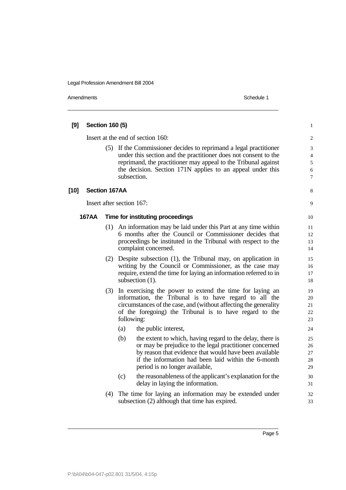| [9]    | Section 160 (5) |     |                                                                                                                                                                                                                                                                                     |                                    |  |
|--------|-----------------|-----|-------------------------------------------------------------------------------------------------------------------------------------------------------------------------------------------------------------------------------------------------------------------------------------|------------------------------------|--|
|        |                 |     | Insert at the end of section 160:                                                                                                                                                                                                                                                   | $\overline{c}$                     |  |
|        |                 |     | (5) If the Commissioner decides to reprimand a legal practitioner<br>under this section and the practitioner does not consent to the<br>reprimand, the practitioner may appeal to the Tribunal against<br>the decision. Section 171N applies to an appeal under this<br>subsection. | 3<br>$\overline{4}$<br>5<br>6<br>7 |  |
| $[10]$ | Section 167AA   |     |                                                                                                                                                                                                                                                                                     | 8                                  |  |
|        |                 |     | Insert after section 167:                                                                                                                                                                                                                                                           | 9                                  |  |
|        | <b>167AA</b>    |     | Time for instituting proceedings                                                                                                                                                                                                                                                    | 10                                 |  |
|        |                 | (1) | An information may be laid under this Part at any time within<br>6 months after the Council or Commissioner decides that<br>proceedings be instituted in the Tribunal with respect to the<br>complaint concerned.                                                                   | 11<br>12<br>13<br>14               |  |
|        |                 | (2) | Despite subsection (1), the Tribunal may, on application in<br>writing by the Council or Commissioner, as the case may<br>require, extend the time for laying an information referred to in<br>subsection (1).                                                                      | 15<br>16<br>17<br>18               |  |
|        |                 | (3) | In exercising the power to extend the time for laying an<br>information, the Tribunal is to have regard to all the<br>circumstances of the case, and (without affecting the generality<br>of the foregoing) the Tribunal is to have regard to the<br>following:                     | 19<br>20<br>21<br>22<br>23         |  |
|        |                 |     | (a)<br>the public interest,                                                                                                                                                                                                                                                         | 24                                 |  |
|        |                 |     | (b)<br>the extent to which, having regard to the delay, there is<br>or may be prejudice to the legal practitioner concerned<br>by reason that evidence that would have been available<br>if the information had been laid within the 6-month<br>period is no longer available,      | 25<br>26<br>27<br>28<br>29         |  |
|        |                 |     | (c)<br>the reasonableness of the applicant's explanation for the<br>delay in laying the information.                                                                                                                                                                                | 30<br>31                           |  |
|        |                 | (4) | The time for laying an information may be extended under<br>subsection (2) although that time has expired.                                                                                                                                                                          | 32<br>33                           |  |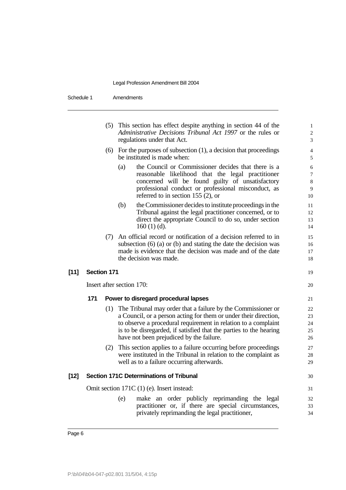|        |                    |     | (5) This section has effect despite anything in section 44 of the<br>Administrative Decisions Tribunal Act 1997 or the rules or<br>regulations under that Act.                                                                                                                                                           | 1<br>$\overline{c}$<br>3     |
|--------|--------------------|-----|--------------------------------------------------------------------------------------------------------------------------------------------------------------------------------------------------------------------------------------------------------------------------------------------------------------------------|------------------------------|
|        |                    | (6) | For the purposes of subsection $(1)$ , a decision that proceedings<br>be instituted is made when:                                                                                                                                                                                                                        | 4<br>5                       |
|        |                    |     | the Council or Commissioner decides that there is a<br>(a)<br>reasonable likelihood that the legal practitioner<br>concerned will be found guilty of unsatisfactory<br>professional conduct or professional misconduct, as<br>referred to in section 155 $(2)$ , or                                                      | 6<br>7<br>$\,8\,$<br>9<br>10 |
|        |                    |     | the Commissioner decides to institute proceedings in the<br>(b)<br>Tribunal against the legal practitioner concerned, or to<br>direct the appropriate Council to do so, under section<br>$160(1)(d)$ .                                                                                                                   | 11<br>12<br>13<br>14         |
|        |                    | (7) | An official record or notification of a decision referred to in<br>subsection $(6)$ (a) or $(b)$ and stating the date the decision was<br>made is evidence that the decision was made and of the date<br>the decision was made.                                                                                          | 15<br>16<br>17<br>18         |
| $[11]$ | <b>Section 171</b> |     |                                                                                                                                                                                                                                                                                                                          | 19                           |
|        |                    |     | Insert after section 170:                                                                                                                                                                                                                                                                                                | 20                           |
|        | 171                |     | Power to disregard procedural lapses                                                                                                                                                                                                                                                                                     | 21                           |
|        |                    |     | (1) The Tribunal may order that a failure by the Commissioner or<br>a Council, or a person acting for them or under their direction,<br>to observe a procedural requirement in relation to a complaint<br>is to be disregarded, if satisfied that the parties to the hearing<br>have not been prejudiced by the failure. | 22<br>23<br>24<br>25<br>26   |
|        |                    | (2) | This section applies to a failure occurring before proceedings<br>were instituted in the Tribunal in relation to the complaint as<br>well as to a failure occurring afterwards.                                                                                                                                          | 27<br>28<br>29               |
| [12]   |                    |     | Section 171C Determinations of Tribunal                                                                                                                                                                                                                                                                                  | 30                           |
|        |                    |     | Omit section 171C (1) (e). Insert instead:                                                                                                                                                                                                                                                                               | 31                           |
|        |                    |     | make an order publicly reprimanding the legal<br>(e)<br>practitioner or, if there are special circumstances,<br>privately reprimanding the legal practitioner,                                                                                                                                                           | 32<br>33<br>34               |
|        |                    |     |                                                                                                                                                                                                                                                                                                                          |                              |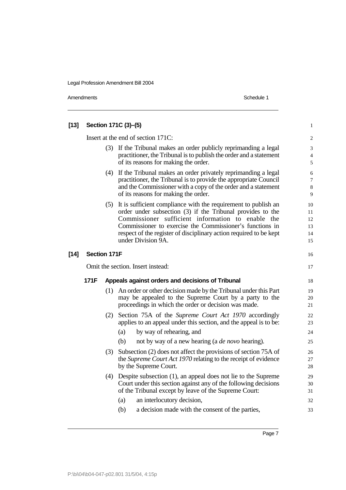Amendments Schedule 1

| [13]   |                                   |     | Section 171C (3)-(5)                                                                                                                                                                                                                                                                                                                      | $\mathbf{1}$                      |  |
|--------|-----------------------------------|-----|-------------------------------------------------------------------------------------------------------------------------------------------------------------------------------------------------------------------------------------------------------------------------------------------------------------------------------------------|-----------------------------------|--|
|        |                                   |     | Insert at the end of section 171C:                                                                                                                                                                                                                                                                                                        | $\overline{c}$                    |  |
|        |                                   |     | (3) If the Tribunal makes an order publicly reprimanding a legal<br>practitioner, the Tribunal is to publish the order and a statement<br>of its reasons for making the order.                                                                                                                                                            | 3<br>$\overline{4}$<br>$\sqrt{5}$ |  |
|        |                                   |     | (4) If the Tribunal makes an order privately reprimanding a legal<br>practitioner, the Tribunal is to provide the appropriate Council<br>and the Commissioner with a copy of the order and a statement<br>of its reasons for making the order.                                                                                            | 6<br>$\tau$<br>$\,8\,$<br>9       |  |
|        |                                   | (5) | It is sufficient compliance with the requirement to publish an<br>order under subsection (3) if the Tribunal provides to the<br>Commissioner sufficient information to enable the<br>Commissioner to exercise the Commissioner's functions in<br>respect of the register of disciplinary action required to be kept<br>under Division 9A. | 10<br>11<br>12<br>13<br>14<br>15  |  |
| $[14]$ | <b>Section 171F</b>               |     |                                                                                                                                                                                                                                                                                                                                           | 16                                |  |
|        | Omit the section. Insert instead: |     |                                                                                                                                                                                                                                                                                                                                           |                                   |  |
|        | 171F                              |     | Appeals against orders and decisions of Tribunal                                                                                                                                                                                                                                                                                          | 18                                |  |
|        |                                   |     | (1) An order or other decision made by the Tribunal under this Part<br>may be appealed to the Supreme Court by a party to the<br>proceedings in which the order or decision was made.                                                                                                                                                     | 19<br>20<br>21                    |  |
|        |                                   |     | (2) Section 75A of the Supreme Court Act 1970 accordingly<br>applies to an appeal under this section, and the appeal is to be:<br>(a)<br>by way of rehearing, and                                                                                                                                                                         | 22<br>23<br>24                    |  |
|        |                                   |     | (b)<br>not by way of a new hearing (a <i>de novo</i> hearing).                                                                                                                                                                                                                                                                            | 25                                |  |
|        |                                   | (3) | Subsection (2) does not affect the provisions of section 75A of<br>the <i>Supreme Court Act 1970</i> relating to the receipt of evidence<br>by the Supreme Court.                                                                                                                                                                         | 26<br>27<br>28                    |  |
|        |                                   | (4) | Despite subsection (1), an appeal does not lie to the Supreme<br>Court under this section against any of the following decisions<br>of the Tribunal except by leave of the Supreme Court:                                                                                                                                                 | 29<br>30<br>31                    |  |
|        |                                   |     | an interlocutory decision,<br>(a)                                                                                                                                                                                                                                                                                                         | 32                                |  |
|        |                                   |     |                                                                                                                                                                                                                                                                                                                                           |                                   |  |
|        |                                   |     | (b)<br>a decision made with the consent of the parties,                                                                                                                                                                                                                                                                                   | 33                                |  |

Page 7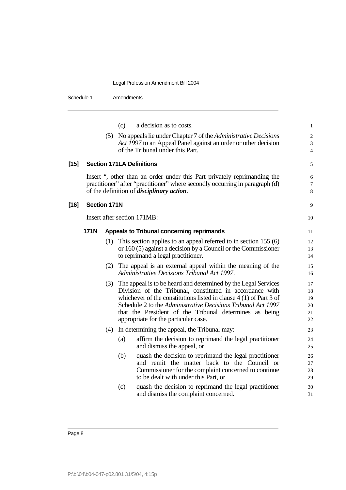Schedule 1 Amendments

|        |                     |     | (c) | a decision as to costs.                                                                                       | $\mathbf{1}$                |
|--------|---------------------|-----|-----|---------------------------------------------------------------------------------------------------------------|-----------------------------|
|        |                     | (5) |     | No appeals lie under Chapter 7 of the <i>Administrative Decisions</i>                                         | $\sqrt{2}$                  |
|        |                     |     |     | Act 1997 to an Appeal Panel against an order or other decision                                                | $\ensuremath{\mathfrak{Z}}$ |
|        |                     |     |     | of the Tribunal under this Part.                                                                              | $\overline{4}$              |
| $[15]$ |                     |     |     | <b>Section 171LA Definitions</b>                                                                              | 5                           |
|        |                     |     |     | Insert ", other than an order under this Part privately reprimanding the                                      | 6                           |
|        |                     |     |     | practitioner" after "practitioner" where secondly occurring in paragraph (d)                                  | 7                           |
|        |                     |     |     | of the definition of <i>disciplinary action</i> .                                                             | $\,$ 8 $\,$                 |
| $[16]$ | <b>Section 171N</b> |     |     |                                                                                                               | 9                           |
|        |                     |     |     | Insert after section 171MB:                                                                                   | 10                          |
|        | <b>171N</b>         |     |     | Appeals to Tribunal concerning reprimands                                                                     | 11                          |
|        |                     | (1) |     | This section applies to an appeal referred to in section $155(6)$                                             | 12                          |
|        |                     |     |     | or 160 (5) against a decision by a Council or the Commissioner                                                | 13                          |
|        |                     |     |     | to reprimand a legal practitioner.                                                                            | 14                          |
|        |                     |     |     | (2) The appeal is an external appeal within the meaning of the<br>Administrative Decisions Tribunal Act 1997. | 15<br>16                    |
|        |                     | (3) |     | The appeal is to be heard and determined by the Legal Services                                                | 17                          |
|        |                     |     |     | Division of the Tribunal, constituted in accordance with                                                      | 18                          |
|        |                     |     |     | whichever of the constitutions listed in clause $4(1)$ of Part 3 of                                           | 19                          |
|        |                     |     |     | Schedule 2 to the Administrative Decisions Tribunal Act 1997                                                  | 20                          |
|        |                     |     |     | that the President of the Tribunal determines as being<br>appropriate for the particular case.                | 21<br>22                    |
|        |                     | (4) |     | In determining the appeal, the Tribunal may:                                                                  | 23                          |
|        |                     |     | (a) | affirm the decision to reprimand the legal practitioner                                                       | 24                          |
|        |                     |     |     | and dismiss the appeal, or                                                                                    | 25                          |
|        |                     |     | (b) | quash the decision to reprimand the legal practitioner                                                        | 26                          |
|        |                     |     |     | and remit the matter back to the Council or                                                                   | 27                          |
|        |                     |     |     | Commissioner for the complaint concerned to continue<br>to be dealt with under this Part, or                  | 28<br>29                    |
|        |                     |     | (c) | quash the decision to reprimand the legal practitioner                                                        | 30                          |
|        |                     |     |     | and dismiss the complaint concerned.                                                                          | 31                          |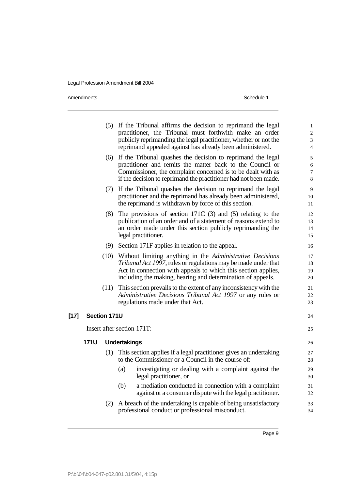|        |              | (2)  | A breach of the undertaking is capable of being unsatisfactory<br>professional conduct or professional misconduct.                                                                                                                                           | 33<br>34                                                        |
|--------|--------------|------|--------------------------------------------------------------------------------------------------------------------------------------------------------------------------------------------------------------------------------------------------------------|-----------------------------------------------------------------|
|        |              |      | (b)<br>a mediation conducted in connection with a complaint<br>against or a consumer dispute with the legal practitioner.                                                                                                                                    | 31<br>32                                                        |
|        |              |      | investigating or dealing with a complaint against the<br>(a)<br>legal practitioner, or                                                                                                                                                                       | 29<br>30                                                        |
|        |              | (1)  | This section applies if a legal practitioner gives an undertaking<br>to the Commissioner or a Council in the course of:                                                                                                                                      | 27<br>28                                                        |
|        | <b>171U</b>  |      | <b>Undertakings</b>                                                                                                                                                                                                                                          | 26                                                              |
|        |              |      | Insert after section 171T:                                                                                                                                                                                                                                   | 25                                                              |
| $[17]$ | Section 171U |      |                                                                                                                                                                                                                                                              | 24                                                              |
|        |              | (11) | This section prevails to the extent of any inconsistency with the<br>Administrative Decisions Tribunal Act 1997 or any rules or<br>regulations made under that Act.                                                                                          | 21<br>22<br>23                                                  |
|        |              | (10) | Without limiting anything in the Administrative Decisions<br>Tribunal Act 1997, rules or regulations may be made under that<br>Act in connection with appeals to which this section applies,<br>including the making, hearing and determination of appeals.  | 17<br>18<br>19<br>20                                            |
|        |              |      | (9) Section 171F applies in relation to the appeal.                                                                                                                                                                                                          | 16                                                              |
|        |              |      | $(8)$ The provisions of section 171C $(3)$ and $(5)$ relating to the<br>publication of an order and of a statement of reasons extend to<br>an order made under this section publicly reprimanding the<br>legal practitioner.                                 | 12<br>13<br>14<br>15                                            |
|        |              |      | (7) If the Tribunal quashes the decision to reprimand the legal<br>practitioner and the reprimand has already been administered,<br>the reprimand is withdrawn by force of this section.                                                                     | 9<br>10<br>11                                                   |
|        |              | (6)  | If the Tribunal quashes the decision to reprimand the legal<br>practitioner and remits the matter back to the Council or<br>Commissioner, the complaint concerned is to be dealt with as<br>if the decision to reprimand the practitioner had not been made. | 5<br>6<br>7<br>8                                                |
|        |              |      | (5) If the Tribunal affirms the decision to reprimand the legal<br>practitioner, the Tribunal must forthwith make an order<br>publicly reprimanding the legal practitioner, whether or not the<br>reprimand appealed against has already been administered.  | $\mathbf{1}$<br>$\overline{c}$<br>3<br>$\overline{\mathcal{L}}$ |
|        |              |      |                                                                                                                                                                                                                                                              |                                                                 |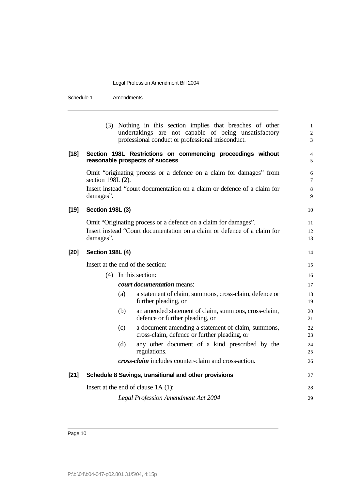|      |                                                                                                                                                                                   |                            | (3) Nothing in this section implies that breaches of other<br>undertakings are not capable of being unsatisfactory<br>professional conduct or professional misconduct. | $\,1$<br>$\overline{\mathbf{c}}$<br>3 |  |
|------|-----------------------------------------------------------------------------------------------------------------------------------------------------------------------------------|----------------------------|------------------------------------------------------------------------------------------------------------------------------------------------------------------------|---------------------------------------|--|
| [18] |                                                                                                                                                                                   |                            | Section 198L Restrictions on commencing proceedings without<br>reasonable prospects of success                                                                         | $\overline{4}$<br>5                   |  |
|      | Omit "originating process or a defence on a claim for damages" from<br>section 198L (2).<br>Insert instead "court documentation on a claim or defence of a claim for<br>damages". |                            |                                                                                                                                                                        |                                       |  |
| [19] | <b>Section 198L (3)</b>                                                                                                                                                           |                            |                                                                                                                                                                        | 10                                    |  |
|      | damages".                                                                                                                                                                         |                            | Omit "Originating process or a defence on a claim for damages".<br>Insert instead "Court documentation on a claim or defence of a claim for                            | 11<br>12<br>13                        |  |
| [20] | <b>Section 198L (4)</b>                                                                                                                                                           |                            |                                                                                                                                                                        | 14                                    |  |
|      | Insert at the end of the section:                                                                                                                                                 |                            |                                                                                                                                                                        |                                       |  |
|      |                                                                                                                                                                                   | $(4)$ In this section:     |                                                                                                                                                                        | 16                                    |  |
|      |                                                                                                                                                                                   | court documentation means: |                                                                                                                                                                        | 17                                    |  |
|      |                                                                                                                                                                                   | (a)                        | a statement of claim, summons, cross-claim, defence or<br>further pleading, or                                                                                         | 18<br>19                              |  |
|      |                                                                                                                                                                                   | (b)                        | an amended statement of claim, summons, cross-claim,<br>defence or further pleading, or                                                                                | 20<br>21                              |  |
|      |                                                                                                                                                                                   | (c)                        | a document amending a statement of claim, summons,<br>cross-claim, defence or further pleading, or                                                                     | 22<br>23                              |  |
|      |                                                                                                                                                                                   | (d)                        | any other document of a kind prescribed by the<br>regulations.                                                                                                         | 24<br>25                              |  |
|      |                                                                                                                                                                                   |                            | cross-claim includes counter-claim and cross-action.                                                                                                                   | 26                                    |  |
| [21] |                                                                                                                                                                                   |                            | Schedule 8 Savings, transitional and other provisions                                                                                                                  | 27                                    |  |
|      | Insert at the end of clause $1A(1)$ :                                                                                                                                             |                            |                                                                                                                                                                        |                                       |  |
|      |                                                                                                                                                                                   |                            | <b>Legal Profession Amendment Act 2004</b>                                                                                                                             | 29                                    |  |
|      |                                                                                                                                                                                   |                            |                                                                                                                                                                        |                                       |  |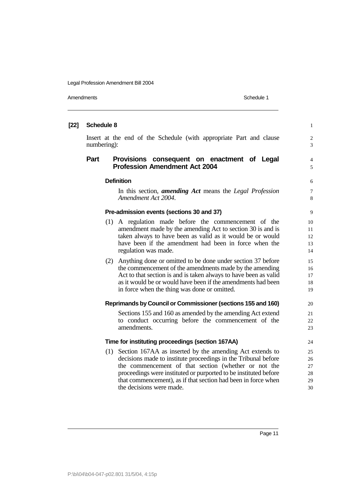| $[22]$ | <b>Schedule 8</b>                                                                  |                                                                                                                                                                                                                                                                                                                                                         |                                  |  |
|--------|------------------------------------------------------------------------------------|---------------------------------------------------------------------------------------------------------------------------------------------------------------------------------------------------------------------------------------------------------------------------------------------------------------------------------------------------------|----------------------------------|--|
|        | Insert at the end of the Schedule (with appropriate Part and clause<br>numbering): |                                                                                                                                                                                                                                                                                                                                                         |                                  |  |
|        | Part                                                                               | Provisions consequent on enactment of Legal<br><b>Profession Amendment Act 2004</b>                                                                                                                                                                                                                                                                     | $\overline{\mathcal{L}}$<br>5    |  |
|        |                                                                                    | <b>Definition</b>                                                                                                                                                                                                                                                                                                                                       |                                  |  |
|        |                                                                                    | In this section, <i>amending Act</i> means the <i>Legal Profession</i><br>Amendment Act 2004.                                                                                                                                                                                                                                                           | $\overline{7}$<br>8              |  |
|        |                                                                                    | Pre-admission events (sections 30 and 37)                                                                                                                                                                                                                                                                                                               | 9                                |  |
|        |                                                                                    | (1) A regulation made before the commencement of the<br>amendment made by the amending Act to section 30 is and is<br>taken always to have been as valid as it would be or would<br>have been if the amendment had been in force when the<br>regulation was made.                                                                                       | 10<br>11<br>12<br>13<br>14       |  |
|        |                                                                                    | (2) Anything done or omitted to be done under section 37 before<br>the commencement of the amendments made by the amending<br>Act to that section is and is taken always to have been as valid<br>as it would be or would have been if the amendments had been<br>in force when the thing was done or omitted.                                          | 15<br>16<br>17<br>18<br>19       |  |
|        |                                                                                    | Reprimands by Council or Commissioner (sections 155 and 160)                                                                                                                                                                                                                                                                                            | 20                               |  |
|        |                                                                                    | Sections 155 and 160 as amended by the amending Act extend<br>to conduct occurring before the commencement of the<br>amendments.                                                                                                                                                                                                                        | 21<br>22<br>23                   |  |
|        |                                                                                    | Time for instituting proceedings (section 167AA)                                                                                                                                                                                                                                                                                                        | 24                               |  |
|        |                                                                                    | (1) Section 167AA as inserted by the amending Act extends to<br>decisions made to institute proceedings in the Tribunal before<br>the commencement of that section (whether or not the<br>proceedings were instituted or purported to be instituted before<br>that commencement), as if that section had been in force when<br>the decisions were made. | 25<br>26<br>27<br>28<br>29<br>30 |  |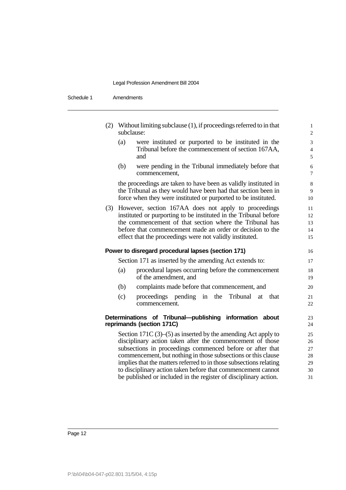| (2) Without limiting subclause (1), if proceedings referred to in that<br>subclause:                                                                                                                                                                                                                                | $\mathbf{1}$<br>$\overline{c}$ |
|---------------------------------------------------------------------------------------------------------------------------------------------------------------------------------------------------------------------------------------------------------------------------------------------------------------------|--------------------------------|
| were instituted or purported to be instituted in the<br>(a)<br>Tribunal before the commencement of section 167AA,<br>and                                                                                                                                                                                            | 3<br>$\overline{4}$<br>5       |
| (b)<br>were pending in the Tribunal immediately before that<br>commencement,                                                                                                                                                                                                                                        | 6<br>$\overline{7}$            |
| the proceedings are taken to have been as validly instituted in<br>the Tribunal as they would have been had that section been in<br>force when they were instituted or purported to be instituted.                                                                                                                  | 8<br>9<br>10                   |
| However, section 167AA does not apply to proceedings<br>(3)<br>instituted or purporting to be instituted in the Tribunal before<br>the commencement of that section where the Tribunal has<br>before that commencement made an order or decision to the<br>effect that the proceedings were not validly instituted. | 11<br>12<br>13<br>14<br>15     |
| Power to disregard procedural lapses (section 171)                                                                                                                                                                                                                                                                  | 16                             |
| Section 171 as inserted by the amending Act extends to:                                                                                                                                                                                                                                                             | 17                             |
| procedural lapses occurring before the commencement<br>(a)<br>of the amendment, and                                                                                                                                                                                                                                 | 18<br>19                       |
| (b)<br>complaints made before that commencement, and                                                                                                                                                                                                                                                                | 20                             |
| (c)<br>proceedings pending in the<br>Tribunal<br>that<br>at<br>commencement.                                                                                                                                                                                                                                        | 21<br>22                       |
| Determinations of Tribunal--publishing information about<br>reprimands (section 171C)                                                                                                                                                                                                                               | 23<br>24                       |
| Section 171C $(3)$ – $(5)$ as inserted by the amending Act apply to                                                                                                                                                                                                                                                 | 25                             |
|                                                                                                                                                                                                                                                                                                                     |                                |